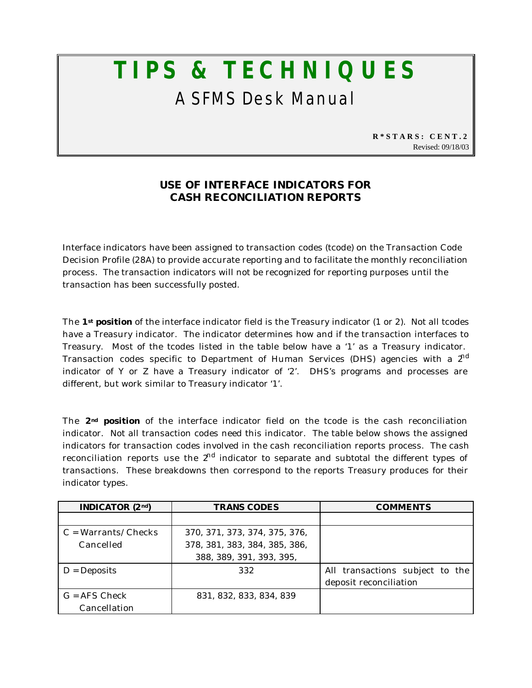## **TIPS & TECHNIQUES** A SFMS Desk Manual

**R\*STARS: CENT.2** Revised: 09/18/03

## **USE OF INTERFACE INDICATORS FOR CASH RECONCILIATION REPORTS**

Interface indicators have been assigned to transaction codes (tcode) on the Transaction Code Decision Profile (28A) to provide accurate reporting and to facilitate the monthly reconciliation process. The transaction indicators will not be recognized for reporting purposes until the transaction has been successfully posted.

The **1st position** of the interface indicator field is the Treasury indicator (1 or 2). Not all tcodes have a Treasury indicator. The indicator determines how and if the transaction interfaces to Treasury. Most of the tcodes listed in the table below have a '1' as a Treasury indicator. Transaction codes specific to Department of Human Services (DHS) agencies with a  $2<sup>nd</sup>$ indicator of Y or Z have a Treasury indicator of '2'. DHS's programs and processes are different, but work similar to Treasury indicator '1'.

The **2nd position** of the interface indicator field on the tcode is the cash reconciliation indicator. Not all transaction codes need this indicator. The table below shows the assigned indicators for transaction codes involved in the cash reconciliation reports process. The cash reconciliation reports use the  $2<sup>nd</sup>$  indicator to separate and subtotal the different types of transactions. These breakdowns then correspond to the reports Treasury produces for their indicator types.

| <b>INDICATOR</b> $(2nd)$            | <b>TRANS CODES</b>            | <b>COMMENTS</b>                 |
|-------------------------------------|-------------------------------|---------------------------------|
|                                     |                               |                                 |
| $C = \text{Warrants}/\text{Checks}$ | 370, 371, 373, 374, 375, 376, |                                 |
| Cancelled                           | 378, 381, 383, 384, 385, 386, |                                 |
|                                     | 388, 389, 391, 393, 395,      |                                 |
| $D = Deposits$                      | 332                           | All transactions subject to the |
|                                     |                               | deposit reconciliation          |
| $G = AFS$ Check                     | 831, 832, 833, 834, 839       |                                 |
| Cancellation                        |                               |                                 |